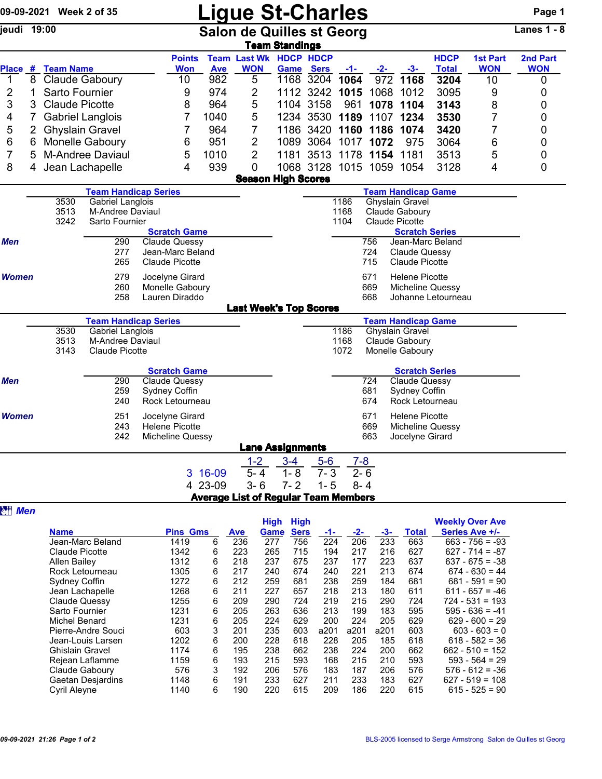|                |    | 09-09-2021 Week 2 of 35 |                                    |                                           |                     |                   | <b>Ligue St-Charles</b>                     |                                                   |                   |                          |            |                                         |                      |                                          | Page 1          |
|----------------|----|-------------------------|------------------------------------|-------------------------------------------|---------------------|-------------------|---------------------------------------------|---------------------------------------------------|-------------------|--------------------------|------------|-----------------------------------------|----------------------|------------------------------------------|-----------------|
| ieudi 19:00    |    |                         |                                    |                                           |                     |                   | <b>Salon de Quilles st Georg</b>            | <b>Team Standings</b>                             |                   |                          |            |                                         |                      |                                          | Lanes $1 - 8$   |
|                |    |                         |                                    |                                           | <b>Points</b>       |                   | <b>Team Last Wk HDCP HDCP</b>               |                                                   |                   |                          |            |                                         | <b>HDCP</b>          | <b>1st Part</b>                          | 2nd Part        |
| 1              | 8  | Place # Team Name       | Claude Gaboury                     |                                           | <b>Won</b><br>10    | <b>Ave</b><br>982 | <b>WON</b><br>5                             | 1168                                              | Game Sers<br>3204 | $-1-$<br>1064            | -2-<br>972 | $-3-$<br>1168                           | <b>Total</b><br>3204 | <b>WON</b><br>10                         | <b>WON</b><br>0 |
| $\overline{2}$ | 1  | Sarto Fournier          |                                    |                                           | 9                   | 974               | $\overline{2}$                              |                                                   |                   | 1112 3242 1015           | 1068       | 1012                                    | 3095                 | 9                                        | 0               |
| 3              | 3. | <b>Claude Picotte</b>   |                                    |                                           | 8                   | 964               | 5                                           |                                                   | 1104 3158         | 961                      | 1078       | 1104                                    | 3143                 | 8                                        | 0               |
| 4              |    |                         | <b>Gabriel Langlois</b>            |                                           | 7                   | 1040              | 5                                           |                                                   | 1234 3530         | 1189                     | 1107       | 1234                                    | 3530                 | $\overline{7}$                           | 0               |
| 5              |    |                         | <b>Ghyslain Gravel</b>             |                                           | 7                   | 964               | 7                                           |                                                   | 1186 3420         | 1160                     | 1186       | 1074                                    | 3420                 | $\overline{7}$                           | 0               |
| 6              | 6  |                         | Monelle Gaboury                    |                                           | 6                   | 951               | $\overline{2}$                              | 1089                                              |                   | 3064 1017                | 1072       | 975                                     | 3064                 | 6                                        | 0               |
| 7              | 5  |                         | <b>M-Andree Daviaul</b>            |                                           | 5                   | 1010              | $\overline{2}$                              | 1181                                              |                   | 3513 1178 1154 1181      |            |                                         | 3513                 | 5                                        | 0               |
| 8              | 4  |                         | Jean Lachapelle                    |                                           | 4                   | 939               | 0                                           |                                                   |                   | 1068 3128 1015 1059 1054 |            |                                         | 3128                 | 4                                        | 0               |
|                |    |                         |                                    |                                           |                     |                   |                                             | <b>Season High Scores</b>                         |                   |                          |            |                                         |                      |                                          |                 |
|                |    |                         | <b>Team Handicap Series</b>        |                                           |                     |                   |                                             |                                                   |                   |                          |            | <b>Team Handicap Game</b>               |                      |                                          |                 |
|                |    | 3530                    | <b>Gabriel Langlois</b>            |                                           |                     |                   |                                             |                                                   |                   | 1186                     |            | Ghyslain Gravel                         |                      |                                          |                 |
|                |    | 3513<br>3242            | M-Andree Daviaul<br>Sarto Fournier |                                           |                     |                   |                                             |                                                   |                   | 1168<br>1104             |            | Claude Gaboury<br><b>Claude Picotte</b> |                      |                                          |                 |
|                |    |                         |                                    |                                           | <b>Scratch Game</b> |                   |                                             |                                                   |                   |                          |            | <b>Scratch Series</b>                   |                      |                                          |                 |
| <b>Men</b>     |    |                         | 290                                | Claude Quessy                             |                     |                   |                                             |                                                   |                   |                          | 756        |                                         | Jean-Marc Beland     |                                          |                 |
|                |    |                         | 277                                | Jean-Marc Beland                          |                     |                   |                                             |                                                   |                   |                          | 724        | <b>Claude Quessy</b>                    |                      |                                          |                 |
|                |    |                         | 265                                | Claude Picotte                            |                     |                   |                                             |                                                   |                   |                          | 715        | Claude Picotte                          |                      |                                          |                 |
| <b>Women</b>   |    |                         | 279                                | Jocelyne Girard                           |                     |                   |                                             |                                                   |                   |                          | 671        | <b>Helene Picotte</b>                   |                      |                                          |                 |
|                |    |                         | 260                                | Monelle Gaboury                           |                     |                   |                                             |                                                   |                   |                          | 669        | Micheline Quessy                        |                      |                                          |                 |
|                |    |                         | 258                                | Lauren Diraddo                            |                     |                   | <b>Last Week's Top Scores</b>               |                                                   |                   |                          | 668        |                                         | Johanne Letourneau   |                                          |                 |
|                |    |                         | <b>Team Handicap Series</b>        |                                           |                     |                   |                                             |                                                   |                   |                          |            | <b>Team Handicap Game</b>               |                      |                                          |                 |
|                |    | 3530                    | <b>Gabriel Langlois</b>            |                                           |                     |                   |                                             |                                                   |                   | 1186                     |            | <b>Ghyslain Gravel</b>                  |                      |                                          |                 |
|                |    | 3513                    | M-Andree Daviaul                   |                                           |                     |                   |                                             |                                                   |                   | 1168                     |            | Claude Gaboury                          |                      |                                          |                 |
|                |    | 3143                    | <b>Claude Picotte</b>              |                                           |                     |                   |                                             |                                                   |                   | 1072                     |            | Monelle Gaboury                         |                      |                                          |                 |
|                |    |                         |                                    |                                           | <b>Scratch Game</b> |                   |                                             |                                                   |                   |                          |            | <b>Scratch Series</b>                   |                      |                                          |                 |
| Men            |    |                         | 290                                | <b>Claude Quessy</b>                      |                     |                   |                                             |                                                   |                   |                          | 724        | <b>Claude Quessy</b>                    |                      |                                          |                 |
|                |    |                         | 259                                | Sydney Coffin                             |                     |                   |                                             |                                                   |                   |                          | 681        | Sydney Coffin                           |                      |                                          |                 |
|                |    |                         | 240                                | Rock Letourneau                           |                     |                   |                                             |                                                   |                   |                          | 674        | Rock Letourneau                         |                      |                                          |                 |
| <b>Women</b>   |    |                         | 251                                | Jocelyne Girard                           |                     |                   |                                             |                                                   |                   |                          | 671        | <b>Helene Picotte</b>                   |                      |                                          |                 |
|                |    |                         | 243<br>242                         | <b>Helene Picotte</b><br>Micheline Quessy |                     |                   |                                             |                                                   |                   |                          | 669<br>663 | Micheline Quessy<br>Jocelyne Girard     |                      |                                          |                 |
|                |    |                         |                                    |                                           |                     |                   |                                             | <b>Lane Assignments</b>                           |                   |                          |            |                                         |                      |                                          |                 |
|                |    |                         |                                    |                                           |                     |                   | $1 - 2$                                     | $3 - 4$                                           | $5-6$             | $7 - 8$                  |            |                                         |                      |                                          |                 |
|                |    |                         |                                    |                                           |                     | 3 16-09           | $5 - 4$                                     | $1 - 8$                                           | $7 - 3$           | $2 - 6$                  |            |                                         |                      |                                          |                 |
|                |    |                         |                                    |                                           |                     | 4 23-09           | $3 - 6$                                     | $7 - 2$                                           | $1 - 5$           | $8 - 4$                  |            |                                         |                      |                                          |                 |
|                |    |                         |                                    |                                           |                     |                   | <b>Average List of Regular Team Members</b> |                                                   |                   |                          |            |                                         |                      |                                          |                 |
| <b>研 Men</b>   |    |                         |                                    |                                           |                     |                   |                                             |                                                   |                   |                          |            |                                         |                      |                                          |                 |
|                |    | <b>Name</b>             |                                    |                                           | <b>Pins Gms</b>     |                   | <u>Ave</u>                                  | <b>High</b><br><b>High</b><br><b>Sers</b><br>Game | -1-               | $-2-$                    | -3-        | <b>Total</b>                            |                      | <b>Weekly Over Ave</b><br>Series Ave +/- |                 |
|                |    |                         | Jean-Marc Beland                   |                                           | 1419                | 6                 | $\overline{236}$                            | 756<br>277                                        | $\overline{224}$  | 206                      | 233        | 663                                     |                      | $663 - 756 = -93$                        |                 |

| <b>Name</b>            | <b>Pins Gms</b> |   | <b>Ave</b> | Game | <b>Sers</b> |      | $-2-$ | $-3-$ | Total | Series Ave +/-    |  |
|------------------------|-----------------|---|------------|------|-------------|------|-------|-------|-------|-------------------|--|
| Jean-Marc Beland       | 1419            | 6 | 236        | 277  | 756         | 224  | 206   | 233   | 663   | $663 - 756 = -93$ |  |
| Claude Picotte         | 1342            | 6 | 223        | 265  | 715         | 194  | 217   | 216   | 627   | $627 - 714 = -87$ |  |
| Allen Bailey           | 1312            | 6 | 218        | 237  | 675         | 237  | 177   | 223   | 637   | $637 - 675 = -38$ |  |
| Rock Letourneau        | 1305            | 6 | 217        | 240  | 674         | 240  | 221   | 213   | 674   | $674 - 630 = 44$  |  |
| Sydney Coffin          | 1272            | 6 | 212        | 259  | 681         | 238  | 259   | 184   | 681   | $681 - 591 = 90$  |  |
| Jean Lachapelle        | 1268            | 6 | 211        | 227  | 657         | 218  | 213   | 180   | 611   | $611 - 657 = -46$ |  |
| Claude Quessy          | 1255            | 6 | 209        | 290  | 724         | 219  | 215   | 290   | 724   | $724 - 531 = 193$ |  |
| Sarto Fournier         | 1231            | 6 | 205        | 263  | 636         | 213  | 199   | 183   | 595   | $595 - 636 = -41$ |  |
| Michel Benard          | 1231            | 6 | 205        | 224  | 629         | 200  | 224   | 205   | 629   | $629 - 600 = 29$  |  |
| Pierre-Andre Souci     | 603             | 3 | 201        | 235  | 603         | a201 | a201  | a201  | 603   | $603 - 603 = 0$   |  |
| Jean-Louis Larsen      | 1202            | 6 | 200        | 228  | 618         | 228  | 205   | 185   | 618   | $618 - 582 = 36$  |  |
| <b>Ghislain Gravel</b> | 1174            | 6 | 195        | 238  | 662         | 238  | 224   | 200   | 662   | $662 - 510 = 152$ |  |
| Rejean Laflamme        | 1159            | 6 | 193        | 215  | 593         | 168  | 215   | 210   | 593   | $593 - 564 = 29$  |  |
| Claude Gaboury         | 576             | 3 | 192        | 206  | 576         | 183  | 187   | 206   | 576   | $576 - 612 = -36$ |  |
| Gaetan Desjardins      | 1148            | 6 | 191        | 233  | 627         | 211  | 233   | 183   | 627   | $627 - 519 = 108$ |  |
| <b>Cyril Aleyne</b>    | 1140            | 6 | 190        | 220  | 615         | 209  | 186   | 220   | 615   | $615 - 525 = 90$  |  |
|                        |                 |   |            |      |             |      |       |       |       |                   |  |